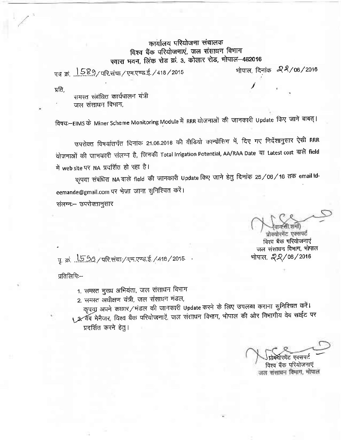## कार्यालय परियोजना संचालक विश्व बैंक परियोजनाएं, जल संसाधन विभाग स्वारा भवन, लिंक रोड क्रं. 3, कोलार रोड, भोपाल-462016

पत्र क्रं 1589/परिसंचा/एम.एण्ड.ई./418/2015

भोपाल, दिनांक *- 22/* 06/2016

समस्त संबंधित कार्यपालन यंत्री

प्रति.

जल संसाधन विभाग.

विषयः—EIMS के Miner Scheme Monitoring Module में RRR योजनाओं की जानकारी Update किए जाने बाबत्।

उपरोक्त विषयांतर्गत दिनांक 21.06.2016 की वीडियो कान्फ्रेंसिग में, दिए गए निर्देशानुसार ऐसी RRR योजनाओं की जानकारी संलग्न है, जिनकी Total Irrigation Potential, AA/RAA Date या Latest cost वाले field में web site पर NA प्रदर्शित हो रहा है।

कृपया संबंधित NA वाले field की जानकारी Update किए जाने हेतु दिनांक 25/06/16 तक email Ideemande@gmail.com पर भेजा जाना सुनिश्चित करें।

संलग्नः- उपरोक्तानुसार

प्रोक्योरमेंट एक्सपर्ट विश्व बैंक परियोजनाएं जल संसाधन विभाग, भोपाल भोपाल, 22/06/2016

पु. क्र. ... 5.50 / परि.संचा / एम.एण्ड.ई. / 418 / 2015 -

प्रतिलिपि:--

- 1. समस्त मुख्य अभियंता, जल संसाधन विभाग
- 2. समस्त अधीक्षण यंत्री, जल संसाधन मंडल,

कृपया अपने कछार/मंडल की जानकारी Update करने के लिए उपलब्ध कराना सुनिश्चित करें। محر , र्वब मेनैजर, विश्व बैंक परियोजनाएं, जल संसाधन विभाग, भोपाल की ओर विभागीय वेब साईट पर प्रदर्शित करने हेतु।

मेंट एक्सपर्ट विश्व बैंक परियोजनाएं जल संसाधन विमाग, भोपाल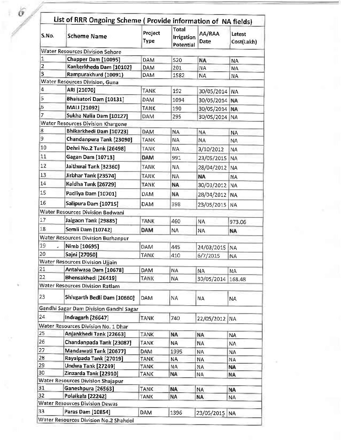| S.No.          | <b>Scheme Name</b>                        | Project<br>Type | Total<br>Irrigation<br>Potential | AA/RAA<br>Date | Latest<br>Cost(Lakh) |
|----------------|-------------------------------------------|-----------------|----------------------------------|----------------|----------------------|
|                | <b>Water Resources Division Sehore</b>    |                 |                                  |                |                      |
| 1              | Chapper Dam [10095]                       | <b>DAM</b>      | 520                              | <b>NA</b>      | <b>NA</b>            |
| $\overline{2}$ | Kankerkheda Dam [10102]                   | DAM             | 201                              | <b>NA</b>      | <b>NA</b>            |
| з              | Rampurakhurd (10091)                      | <b>DAM</b>      | 1582                             | ΝA             | <b>NA</b>            |
|                | <b>Water Resources Division, Guna</b>     |                 |                                  |                |                      |
| 4              | ARI [21070]                               | <b>TANK</b>     | 192                              | 30/05/2014     | NA.                  |
| 5              | Bhaisatori Dam [10131]                    | <b>DAM</b>      | 1094                             | 30/05/2014     | NA:                  |
| 6              | MALI [21092]                              | <b>TANK</b>     | 190                              | 30/05/2014     | <b>NA</b>            |
| $\overline{7}$ | Sukha Nalia Dam [10127]                   | DAM             | 295                              | 30/05/2014     | <b>NA</b>            |
|                | <b>Water Resources Division Khargone</b>  |                 |                                  |                |                      |
| 8              | Bhikarkhedi Dam [10723]                   | <b>DAM</b>      | <b>NA</b>                        | <b>NA</b>      | <b>NA</b>            |
| 9              | Chandanpura Tank [23090]                  | <b>TANK</b>     | <b>NA</b>                        | <b>NA</b>      | <b>NA</b>            |
| 10             | Dehri No.2 Tank [26498]                   | <b>TANK</b>     | <b>NA</b>                        | 3/10/2012      | <b>NA</b>            |
| 11             | Gagan Dam [10713]                         | <b>DAM</b>      | 991                              | 23/05/2015     | <b>NA</b>            |
| 12             | Jaithwai Tank [32360]                     | TANK            | NА                               | 28/04/2012     | <b>NA</b>            |
| 13             | Jirbhar Tank [23574]                      | TANK            | NA.                              | <b>NA</b>      |                      |
| 14             | Kaldha Tank [26729]                       | <b>TANK</b>     |                                  |                | ΝA                   |
| 15             |                                           |                 | <b>NA</b>                        | 30/03/2012     | <b>NA</b>            |
|                | Padliya Dam [10701]                       | <b>DAM</b>      | NA                               | 28/04/2012     | <b>NA</b>            |
| 16             | Salipura Dam [10715]                      | DAM             | 398                              | 23/05/2015     | NA                   |
|                | <b>Water Resources Division Badwani</b>   |                 |                                  |                |                      |
| 17             | Jalgaon Tank [29885]                      | <b>TANK</b>     | 460                              | NA             | 973,06               |
| 18             | Semli Dam [10742]                         | <b>DAM</b>      | NA                               | NA             | <b>NA</b>            |
|                | <b>Water Resources Division Burhanpur</b> |                 |                                  |                |                      |
| 19             | Nimb [10695]                              | <b>DAM</b>      | 445                              | 24/03/2015     | <b>NA</b>            |
| 20             | Sajni [27050]                             | <b>TANK</b>     | 410                              | 6/7/2015       | <b>NA</b>            |
|                | <b>Water Resources Division Ujjain</b>    |                 |                                  |                |                      |
| 21             | Antalwasa Dam [10678]                     | <b>DAM</b>      | <b>NA</b>                        | NA             | <b>NA</b>            |
| 22             | Bhensakhedi [26419]                       | <b>TANK</b>     | <b>NA</b>                        | 30/05/2014     | 168.48               |
|                | <b>Water Resources Division Ratlam</b>    |                 |                                  |                |                      |
| 23             | Shivgarth Bedli Dam [10660]               | <b>DAM</b>      | ΝA                               | <b>NA</b>      | <b>NA</b>            |
|                | Gandhi Sagar Dam Division Gandhi Sagar    |                 |                                  |                |                      |
| 24             | Indragarh [26647]                         | <b>TANK</b>     | 740                              | 22/05/2012 NA  |                      |
|                | Water Resources Division No. 1 Dhar       |                 |                                  |                |                      |
| 25             | Anjankhedi Tank [22663]                   | <b>TANK</b>     | NA                               | <b>NA</b>      | <b>NA</b>            |
| 26             | Chandanpada Tank [23087]                  | TANK            | <b>NA</b>                        | <b>NA</b>      | <b>NA</b>            |
| 27             | Mandawati Tank [20677]                    | DAM             | 1995                             | NA             | ΝA                   |
| 28             | Rayalpada Tank [27019]                    | <b>TANK</b>     | ΝA                               | <b>NA</b>      | <b>NA</b>            |
| 29             | Undwa Tank [27249]                        | TANK            | <b>NA</b>                        | ΝA             | <b>NA</b>            |
| 30             | Zinzarda Tank [22910]                     | TANK            | NA.                              | <b>NA</b>      | <b>NA</b>            |
|                | Water Resources Division Shajapur         |                 |                                  |                |                      |
| 31             | Ganeshpura [26563]                        | <b>TANK</b>     | <b>NA</b>                        | <b>NA</b>      | NA                   |
| 32             | Polaikala [22242]                         | <b>TANK</b>     | <b>NA</b>                        | <b>NA</b>      | ΝA                   |
|                | <b>Water Resources Division Dewas</b>     |                 |                                  |                |                      |
| 33             | Paras Dam [10854]                         | <b>DAM</b>      | 1396                             | 23/05/2015     | <b>NA</b>            |

 $\delta_{\rm g}$